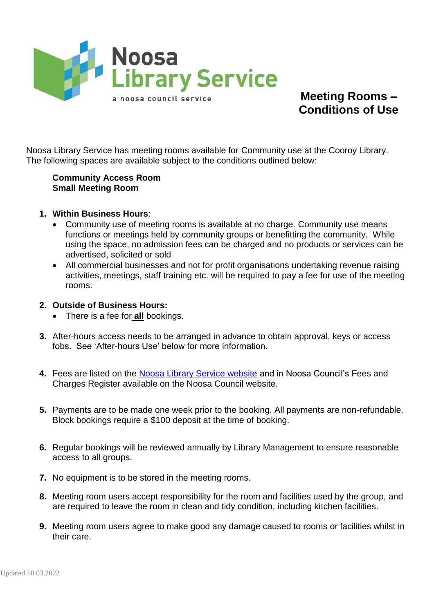

**Meeting Rooms – Conditions of Use**

Noosa Library Service has meeting rooms available for Community use at the Cooroy Library. The following spaces are available subject to the conditions outlined below:

## **Community Access Room Small Meeting Room**

- **1. Within Business Hours**:
	- Community use of meeting rooms is available at no charge. Community use means functions or meetings held by community groups or benefitting the community. While using the space, no admission fees can be charged and no products or services can be advertised, solicited or sold
	- All commercial businesses and not for profit organisations undertaking revenue raising activities, meetings, staff training etc. will be required to pay a fee for use of the meeting rooms.
- **2. Outside of Business Hours:**
	- There is a fee for **all** bookings.
- **3.** After-hours access needs to be arranged in advance to obtain approval, keys or access fobs. See 'After-hours Use' below for more information.
- **4.** Fees are listed on the [Noosa Library Service website](https://www.libraries.noosa.qld.gov.au/meeting-rooms) and in Noosa Council's Fees and Charges Register available on the Noosa Council website.
- **5.** Payments are to be made one week prior to the booking. All payments are non-refundable. Block bookings require a \$100 deposit at the time of booking.
- **6.** Regular bookings will be reviewed annually by Library Management to ensure reasonable access to all groups.
- **7.** No equipment is to be stored in the meeting rooms.
- **8.** Meeting room users accept responsibility for the room and facilities used by the group, and are required to leave the room in clean and tidy condition, including kitchen facilities.
- **9.** Meeting room users agree to make good any damage caused to rooms or facilities whilst in their care.